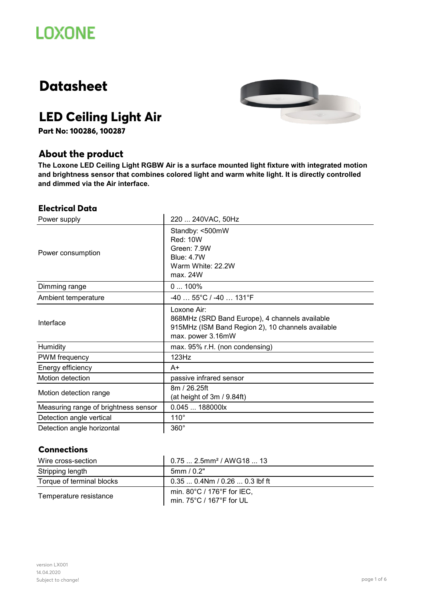# **Datasheet**



# **LED Ceiling Light Air**

**Part No: 100286, 100287**

# **About the product**

**The Loxone LED Ceiling Light RGBW Air is a surface mounted light fixture with integrated motion and brightness sensor that combines colored light and warm white light. It is directly controlled and dimmed via the Air interface.**

#### **Electrical Data**

| Power supply                         | 220  240VAC, 50Hz                                                                                                                       |
|--------------------------------------|-----------------------------------------------------------------------------------------------------------------------------------------|
| Power consumption                    | Standby: <500mW<br>Red: 10W<br>Green: 7.9W<br><b>Blue: 4.7W</b><br>Warm White: 22.2W<br>max. 24W                                        |
| Dimming range                        | $0100\%$                                                                                                                                |
| Ambient temperature                  | $-4055^{\circ}C/ -40131^{\circ}F$                                                                                                       |
| Interface                            | Loxone Air:<br>868MHz (SRD Band Europe), 4 channels available<br>915MHz (ISM Band Region 2), 10 channels available<br>max. power 3.16mW |
| Humidity                             | max. 95% r.H. (non condensing)                                                                                                          |
| PWM frequency                        | 123Hz                                                                                                                                   |
| Energy efficiency                    | A+                                                                                                                                      |
| Motion detection                     | passive infrared sensor                                                                                                                 |
| Motion detection range               | 8m / 26.25ft<br>(at height of 3m / 9.84ft)                                                                                              |
| Measuring range of brightness sensor | 0.045  188000lx                                                                                                                         |
| Detection angle vertical             | $110^\circ$                                                                                                                             |
| Detection angle horizontal           | $360^\circ$                                                                                                                             |

#### **Connections**

| Wire cross-section        | $0.75$ 2.5mm <sup>2</sup> / AWG18  13                  |
|---------------------------|--------------------------------------------------------|
| Stripping length          | 5mm/0.2"                                               |
| Torque of terminal blocks | $0.350.4Nm/0.260.3$ lbf ft                             |
| Temperature resistance    | min. 80°C / 176°F for IEC,<br>min. 75°C / 167°F for UL |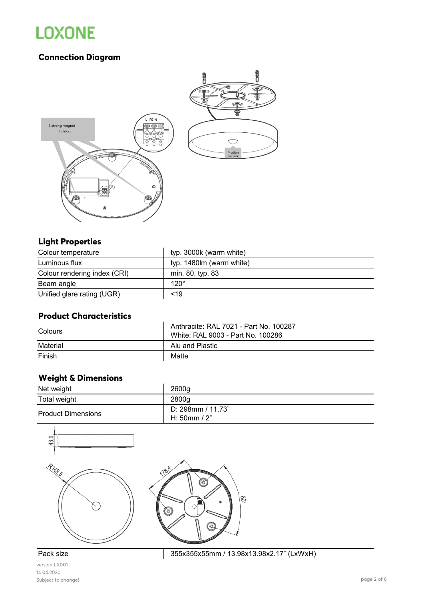# **Connection Diagram**



# **Light Properties**

| Colour temperature           | typ. 3000k (warm white)  |
|------------------------------|--------------------------|
| Luminous flux                | typ. 1480lm (warm white) |
| Colour rendering index (CRI) | min. 80, typ. 83         |
| Beam angle                   | $120^\circ$              |
| Unified glare rating (UGR)   | < 19                     |

#### **Product Characteristics**

| Colours  | Anthracite: RAL 7021 - Part No. 100287<br>White: RAL 9003 - Part No. 100286 |
|----------|-----------------------------------------------------------------------------|
| Material | Alu and Plastic                                                             |
| Finish   | Matte                                                                       |

# **Weight & Dimensions**

| Net weight                | 2600a                               |
|---------------------------|-------------------------------------|
| Total weight              | 2800a                               |
| <b>Product Dimensions</b> | D: 298mm / 11.73"<br>H: $50mm / 2"$ |



version LX001 14.04.2020 Subject to change! page 2 of 6

Pack size 355x355x55mm / 13.98x13.98x2.17" (LxWxH)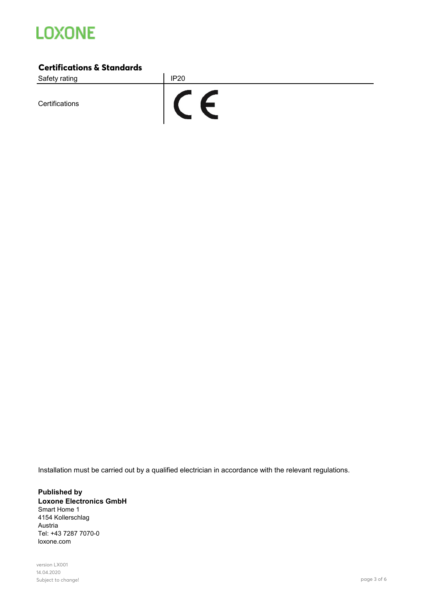

#### **Certifications & Standards**

Safety rating **IP20** 

**Certifications** 



Installation must be carried out by a qualified electrician in accordance with the relevant regulations.

**Published by Loxone Electronics GmbH** Smart Home 1 4154 Kollerschlag Austria Tel: +43 7287 7070-0 loxone.com

version LX001 14.04.2020 Subject to change! page 3 of 6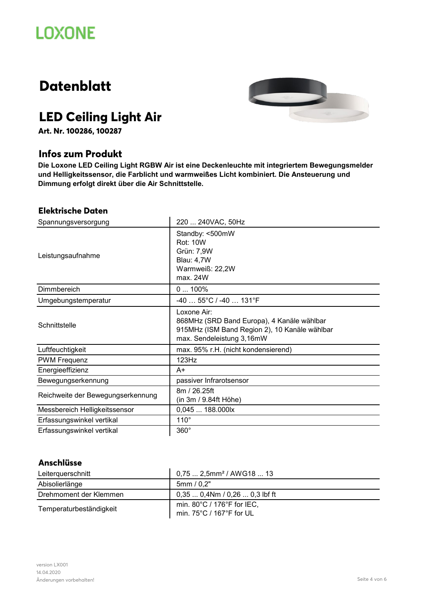# **Datenblatt**



# **LED Ceiling Light Air**

**Art. Nr. 100286, 100287**

# **Infos zum Produkt**

**Die Loxone LED Ceiling Light RGBW Air ist eine Deckenleuchte mit integriertem Bewegungsmelder und Helligkeitssensor, die Farblicht und warmweißes Licht kombiniert. Die Ansteuerung und Dimmung erfolgt direkt über die Air Schnittstelle.**

#### **Elektrische Daten**

| Spannungsversorgung               | 220  240VAC, 50Hz                                                                                                                       |
|-----------------------------------|-----------------------------------------------------------------------------------------------------------------------------------------|
| Leistungsaufnahme                 | Standby: <500mW<br><b>Rot: 10W</b><br>Grün: 7,9W<br><b>Blau: 4,7W</b><br>Warmweiß: 22,2W<br>max. 24W                                    |
| Dimmbereich                       | $0100\%$                                                                                                                                |
| Umgebungstemperatur               | $-4055^{\circ}C/ -40131^{\circ}F$                                                                                                       |
| Schnittstelle                     | Loxone Air:<br>868MHz (SRD Band Europa), 4 Kanäle wählbar<br>915MHz (ISM Band Region 2), 10 Kanäle wählbar<br>max. Sendeleistung 3,16mW |
| Luftfeuchtigkeit                  | max. 95% r.H. (nicht kondensierend)                                                                                                     |
| <b>PWM Frequenz</b>               | 123Hz                                                                                                                                   |
| Energieeffizienz                  | $A+$                                                                                                                                    |
| Bewegungserkennung                | passiver Infrarotsensor                                                                                                                 |
| Reichweite der Bewegungserkennung | 8m / 26.25ft<br>(in 3m / 9.84ft Höhe)                                                                                                   |
| Messbereich Helligkeitssensor     | 0,045  188.000lx                                                                                                                        |
| Erfassungswinkel vertikal         | $110^\circ$                                                                                                                             |
| Erfassungswinkel vertikal         | 360°                                                                                                                                    |

#### **Anschlüsse**

| Leiterquerschnitt       | $0.752.5$ mm <sup>2</sup> / AWG18  13                                       |
|-------------------------|-----------------------------------------------------------------------------|
| Abisolierlänge          | 5mm/0,2"                                                                    |
| Drehmoment der Klemmen  | $0.350.4Nm/0.260.3$ lbf ft                                                  |
| Temperaturbeständigkeit | min. $80^{\circ}$ C / 176 $^{\circ}$ F for IEC,<br>min. 75°C / 167°F for UL |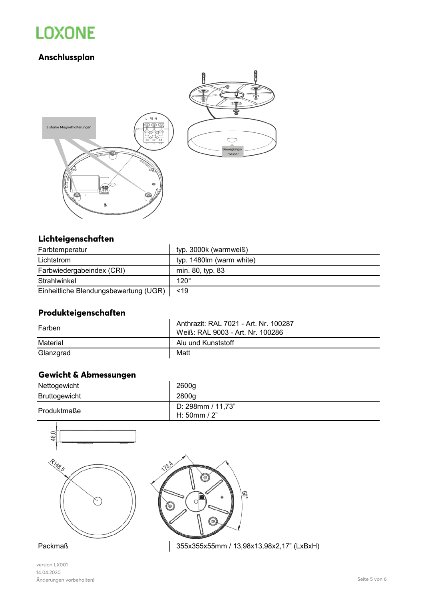# **Anschlussplan**



## **Lichteigenschaften**

| Farbtemperatur                        | typ. 3000k (warmweiß)    |
|---------------------------------------|--------------------------|
| Lichtstrom                            | typ. 1480lm (warm white) |
| Farbwiedergabeindex (CRI)             | min. 80, typ. 83         |
| Strahlwinkel                          | $120^\circ$              |
| Einheitliche Blendungsbewertung (UGR) | 19                       |

# **Produkteigenschaften**

| Farben    | Anthrazit: RAL 7021 - Art. Nr. 100287<br>Weiß: RAL 9003 - Art. Nr. 100286 |
|-----------|---------------------------------------------------------------------------|
| Material  | Alu und Kunststoff                                                        |
| Glanzgrad | Matt                                                                      |

# **Gewicht & Abmessungen**

| Nettogewicht  | 2600g                               |
|---------------|-------------------------------------|
| Bruttogewicht | 2800g                               |
| Produktmaße   | D: 298mm / 11,73"<br>H: $50mm / 2"$ |



version LX001 14.04.2020 Änderungen vorbehalten! Seite 5 von 6

Packmaß 355x355x55mm / 13,98x13,98x2,17" (LxBxH)